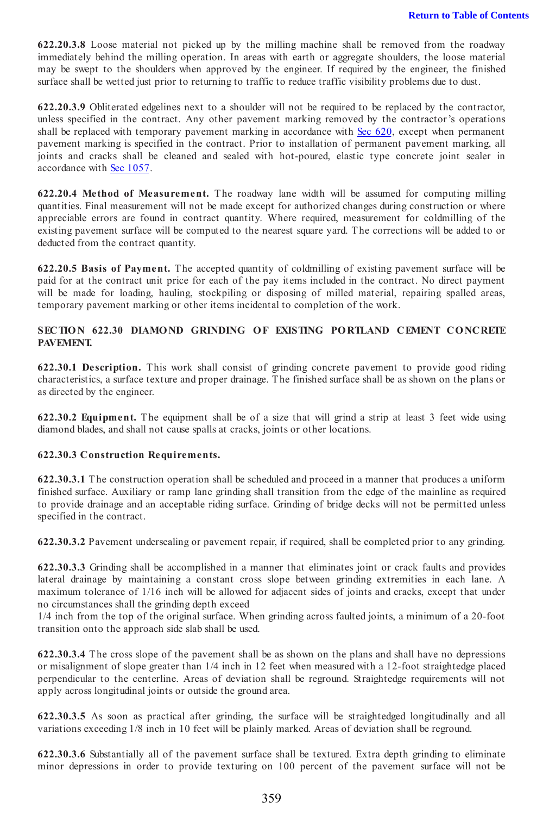# SECTION 622.30 DIAMOND GRINDING OF EXISTING PORTLAND CEMENT CONCRETE PAVEMENT.

622.30.1 Description. This work shall consist of grinding concrete pavement to provide good riding characteristics, a surface texture and proper drainage. The finished surface shall be as shown on the plans or as directed by the engineer.

622.30.2 Equipment. The equipment shall be of a size that will grind a strip at least 3 feet wide using diamond blades, and shall not cause spalls at cracks, joints or other locations.

## 622.30.3 Construction Requirements.

622.30.3.1 The construction operation shall be scheduled and proceed in a manner that produces a uniform finished surface. Auxiliary or ramp lane grinding shall transition from the edge of the mainline as required to provide drainage and an acceptable riding surface. Grinding of bridge decks will not be permitted unless specified in the contract.

622.30.3.2 Pavement undersealing or pavement repair, if required, shall be completed prior to any grinding.

622.30.3.3 Grinding shall be accomplished in a manner that eliminates joint or crack faults and provides lateral drainage by maintaining a constant cross slope between grinding extremities in each lane. A maximum tolerance of 1/16 inch will be allowed for adjacent sides of joints and cracks, except that under no circumstances shall the grinding depth exceed

1/4 inch from the top of the original surface. When grinding across faulted joints, a minimum of a 20-foot transition onto the approach side slab shall be used.

622.30.3.4 The cross slope of the pavement shall be as shown on the plans and shall have no depressions or misalignment of slope greater than 1/4 inch in 12 feet when measured with a 12-foot straightedge placed perpendicular to the centerline. Areas of deviation shall be reground. Straightedge requirements will not apply across longitudinal joints or outside the ground area.

622.30.3.5 As soon as practical after grinding, the surface will be straightedged longitudinally and all variations exceeding 1/8 inch in 10 feet will be plainly marked. Areas of deviation shall be reground.

622.30.3.6 Substantially all of the pavement surface shall be textured. Extra depth grinding to eliminate minor depressions in order to provide texturing on 100 percent of the pavement surface will not be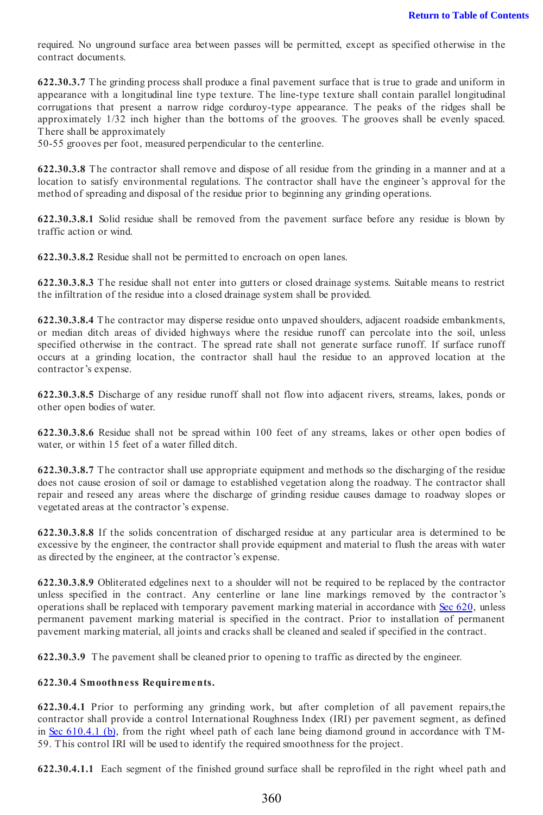required. No unground surface area between passes will be permitted, except as specified otherwise in the contract documents.

622.30.3.7 The grinding process shall produce a final pavement surface that is true to grade and uniform in appearance with a longitudinal line type texture. The line-type texture shall contain parallel longitudinal corrugations that present a narrow ridge corduroy-type appearance. The peaks of the ridges shall be approximately 1/32 inch higher than the bottoms of the grooves. The grooves shall be evenly spaced. There shall be approximately

50-55 grooves per foot, measured perpendicular to the centerline.

622.30.3.8 The contractor shall remove and dispose of all residue from the grinding in a manner and at a location to satisfy environmental regulations. The contractor shall have the engineer's approval for the method of spreading and disposal of the residue prior to beginning any grinding operations.

622.30.3.8.1 Solid residue shall be removed from the pavement surface before any residue is blown by traffic action or wind.

622.30.3.8.2 Residue shall not be permitted to encroach on open lanes.

622.30.3.8.3 The residue shall not enter into gutters or closed drainage systems. Suitable means to restrict the infiltration of the residue into a closed drainage system shall be provided.

622.30.3.8.4 The contractor may disperse residue onto unpaved shoulders, adjacent roadside embankments, or median ditch areas of divided highways where the residue runoff can percolate into the soil, unless specified otherwise in the contract. The spread rate shall not generate surface runoff. If surface runoff occurs at a grinding location, the contractor shall haul the residue to an approved location at the contractor's expense.

622.30.3.8.5 Discharge of any residue runoff shall not flow into adjacent rivers, streams, lakes, ponds or other open bodies of water.

622.30.3.8.6 Residue shall not be spread within 100 feet of any streams, lakes or other open bodies of water, or within 15 feet of a water filled ditch.

622.30.3.8.7 The contractor shall use appropriate equipment and methods so the discharging of the residue does not cause erosion of soil or damage to established vegetation along the roadway. The contractor shall repair and reseed any areas where the discharge of grinding residue causes damage to roadway slopes or vegetated areas at the contractor's expense.

622.30.3.8.8 If the solids concentration of discharged residue at any particular area is determined to be excessive by the engineer, the contractor shall provide equipment and material to flush the areas with water as directed by the engineer, at the contractor's expense.

622.30.3.8.9 Obliterated edgelines next to a shoulder will not be required to be replaced by the contractor unless specified in the contract. Any centerline or lane line markings removed by the contractor's operations shall be replaced with temporary pavement marking material in accordance with Sec 620, unless permanent pavement marking material is specified in the contract. Prior to installation of permanent pavement marking material, all joints and cracks shall be cleaned and sealed if specified in the contract.

622.30.3.9 The pavement shall be cleaned prior to opening to traffic as directed by the engineer.

## 622.30.4 Smoothness Requirements.

622.30.4.1 Prior to performing any grinding work, but after completion of all pavement repairs,the contractor shall provide a control International Roughness Index (IRI) per pavement segment, as defined in Sec  $610.4.1$  (b), from the right wheel path of each lane being diamond ground in accordance with TM-59. This control IRI will be used to identify the required smoothness for the project.

622.30.4.1.1 Each segment of the finished ground surface shall be reprofiled in the right wheel path and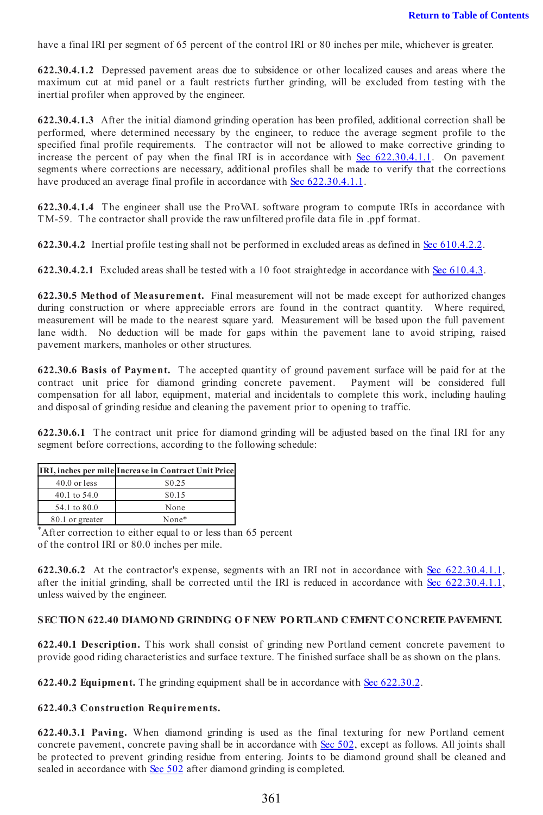have a final IRI per segment of 65 percent of the control IRI or 80 inches per mile, whichever is greater.

622.30.4.1.2 Depressed pavement areas due to subsidence or other localized causes and areas where the maximum cut at mid panel or a fault restricts further grinding, will be excluded from testing with the inertial profiler when approved by the engineer.

622.30.4.1.3 After the initial diamond grinding operation has been profiled, additional correction shall be performed, where determined necessary by the engineer, to reduce the average segment profile to the specified final profile requirements. The contractor will not be allowed to make corrective grinding to increase the percent of pay when the final IRI is in accordance with Sec 622.30.4.1.1. On pavement segments where corrections are necessary, additional profiles shall be made to verify that the corrections have produced an average final profile in accordance with Sec 622.30.4.1.1.

622.30.4.1.4 The engineer shall use the ProVAL software program to compute IRIs in accordance with TM-59. The contractor shall provide the raw unfiltered profile data file in .ppf format.

622.30.4.2 Inertial profile testing shall not be performed in excluded areas as defined in Sec 610.4.2.2.

622.30.4.2.1 Excluded areas shall be tested with a 10 foot straightedge in accordance with Sec 610.4.3.

622.30.5 Method of Measurement. Final measurement will not be made except for authorized changes during construction or where appreciable errors are found in the contract quantity. Where required, measurement will be made to the nearest square yard. Measurement will be based upon the full pavement lane width. No deduction will be made for gaps within the pavement lane to avoid striping, raised pavement markers, manholes or other structures.

622.30.6 Basis of Payment. The accepted quantity of ground pavement surface will be paid for at the contract unit price for diamond grinding concrete pavement. Payment will be considered full compensation for all labor, equipment, material and incidentals to complete this work, including hauling and disposal of grinding residue and cleaning the pavement prior to opening to traffic.

622.30.6.1 The contract unit price for diamond grinding will be adjusted based on the final IRI for any segment before corrections, according to the following schedule:

|                 | IRI, inches per mile Increase in Contract Unit Price |
|-----------------|------------------------------------------------------|
| $40.0$ or less  | \$0.25                                               |
| 40.1 to 54.0    | \$0.15                                               |
| 54.1 to 80.0    | None                                                 |
| 80.1 or greater | None*                                                |

\*After correction to either equal to or less than 65 percent of the control IRI or 80.0 inches per mile.

622.30.6.2 At the contractor's expense, segments with an IRI not in accordance with Sec 622.30.4.1.1, after the initial grinding, shall be corrected until the IRI is reduced in accordance with Sec 622.30.4.1.1, unless waived by the engineer.

#### SECTION 622.40 DIAMOND GRINDING OF NEW PORTLAND CEMENT CONCRETE PAVEMENT.

622.40.1 Description. This work shall consist of grinding new Portland cement concrete pavement to provide good riding characteristics and surface texture. The finished surface shall be as shown on the plans.

622.40.2 Equipment. The grinding equipment shall be in accordance with Sec 622.30.2.

## 622.40.3 Construction Requirements.

622.40.3.1 Paving. When diamond grinding is used as the final texturing for new Portland cement concrete pavement, concrete paving shall be in accordance with Sec 502, except as follows. All joints shall be protected to prevent grinding residue from entering. Joints to be diamond ground shall be cleaned and sealed in accordance with Sec 502 after diamond grinding is completed.